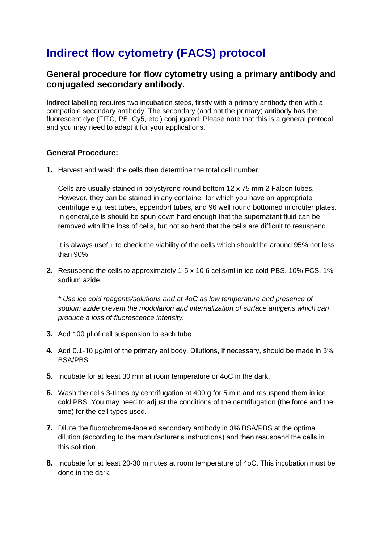## **Indirect flow cytometry (FACS) protocol**

## **General procedure for flow cytometry using a primary antibody and conjugated secondary antibody.**

Indirect labelling requires two incubation steps, firstly with a primary antibody then with a compatible secondary antibody. The secondary (and not the primary) antibody has the fluorescent dye (FITC, PE, Cy5, etc.) conjugated. Please note that this is a general protocol and you may need to adapt it for your applications.

## **General Procedure:**

**1.** Harvest and wash the cells then determine the total cell number.

Cells are usually stained in polystyrene round bottom 12 x 75 mm 2 Falcon tubes. However, they can be stained in any container for which you have an appropriate centrifuge e.g. test tubes, eppendorf tubes, and 96 well round bottomed microtiter plates. In general,cells should be spun down hard enough that the supernatant fluid can be removed with little loss of cells, but not so hard that the cells are difficult to resuspend.

It is always useful to check the viability of the cells which should be around 95% not less than 90%.

**2.** Resuspend the cells to approximately 1-5 x 10 6 cells/ml in ice cold PBS, 10% FCS, 1% sodium azide.

*\* Use ice cold reagents/solutions and at 4oC as low temperature and presence of sodium azide prevent the modulation and internalization of surface antigens which can produce a loss of fluorescence intensity.*

- **3.** Add 100 μl of cell suspension to each tube.
- **4.** Add 0.1-10 μg/ml of the primary antibody. Dilutions, if necessary, should be made in 3% BSA/PBS.
- **5.** Incubate for at least 30 min at room temperature or 4oC in the dark.
- **6.** Wash the cells 3-times by centrifugation at 400 g for 5 min and resuspend them in ice cold PBS. You may need to adjust the conditions of the centrifugation (the force and the time) for the cell types used.
- **7.** Dilute the fluorochrome-labeled secondary antibody in 3% BSA/PBS at the optimal dilution (according to the manufacturer's instructions) and then resuspend the cells in this solution.
- **8.** Incubate for at least 20-30 minutes at room temperature of 4oC. This incubation must be done in the dark.